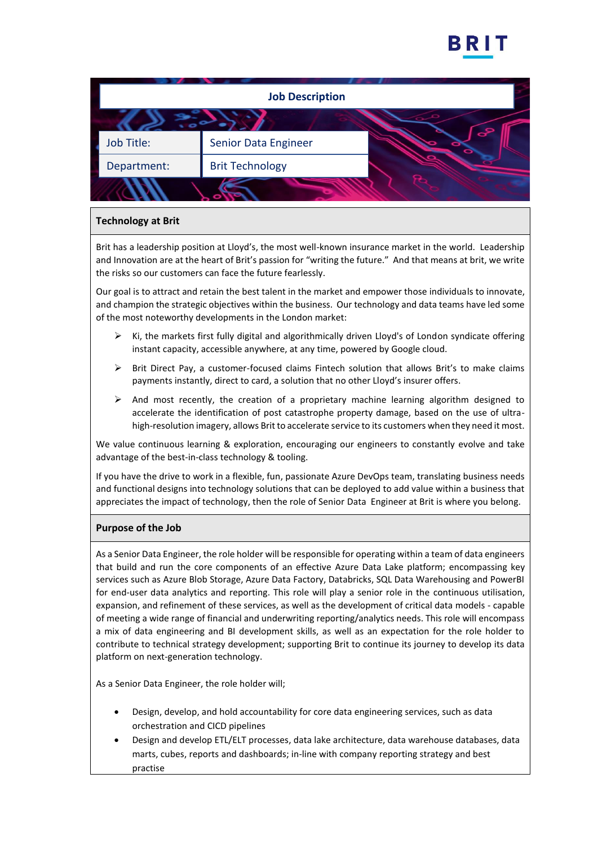

| <b>Job Description</b> |                           |  |
|------------------------|---------------------------|--|
|                        |                           |  |
| Job Title:             | S<br>Senior Data Engineer |  |
| Department:            | <b>Brit Technology</b>    |  |
|                        |                           |  |

# **Technology at Brit**

Brit has a leadership position at Lloyd's, the most well-known insurance market in the world. Leadership and Innovation are at the heart of Brit's passion for "writing the future." And that means at brit, we write the risks so our customers can face the future fearlessly.

Our goal is to attract and retain the best talent in the market and empower those individuals to innovate, and champion the strategic objectives within the business. Our technology and data teams have led some of the most noteworthy developments in the London market:

- $\triangleright$  Ki, the markets first fully digital and algorithmically driven Lloyd's of London syndicate offering instant capacity, accessible anywhere, at any time, powered by Google cloud.
- $\triangleright$  Brit Direct Pay, a customer-focused claims Fintech solution that allows Brit's to make claims payments instantly, direct to card, a solution that no other Lloyd's insurer offers.
- $\triangleright$  And most recently, the creation of a proprietary machine learning algorithm designed to accelerate the identification of post catastrophe property damage, based on the use of ultrahigh-resolution imagery, allows Brit to accelerate service to its customers when they need it most.

We value continuous learning & exploration, encouraging our engineers to constantly evolve and take advantage of the best-in-class technology & tooling.

If you have the drive to work in a flexible, fun, passionate Azure DevOps team, translating business needs and functional designs into technology solutions that can be deployed to add value within a business that appreciates the impact of technology, then the role of Senior Data Engineer at Brit is where you belong.

## **Purpose of the Job**

As a Senior Data Engineer, the role holder will be responsible for operating within a team of data engineers that build and run the core components of an effective Azure Data Lake platform; encompassing key services such as Azure Blob Storage, Azure Data Factory, Databricks, SQL Data Warehousing and PowerBI for end-user data analytics and reporting. This role will play a senior role in the continuous utilisation, expansion, and refinement of these services, as well as the development of critical data models - capable of meeting a wide range of financial and underwriting reporting/analytics needs. This role will encompass a mix of data engineering and BI development skills, as well as an expectation for the role holder to contribute to technical strategy development; supporting Brit to continue its journey to develop its data platform on next-generation technology.

As a Senior Data Engineer, the role holder will;

- Design, develop, and hold accountability for core data engineering services, such as data orchestration and CICD pipelines
- Design and develop ETL/ELT processes, data lake architecture, data warehouse databases, data marts, cubes, reports and dashboards; in-line with company reporting strategy and best practise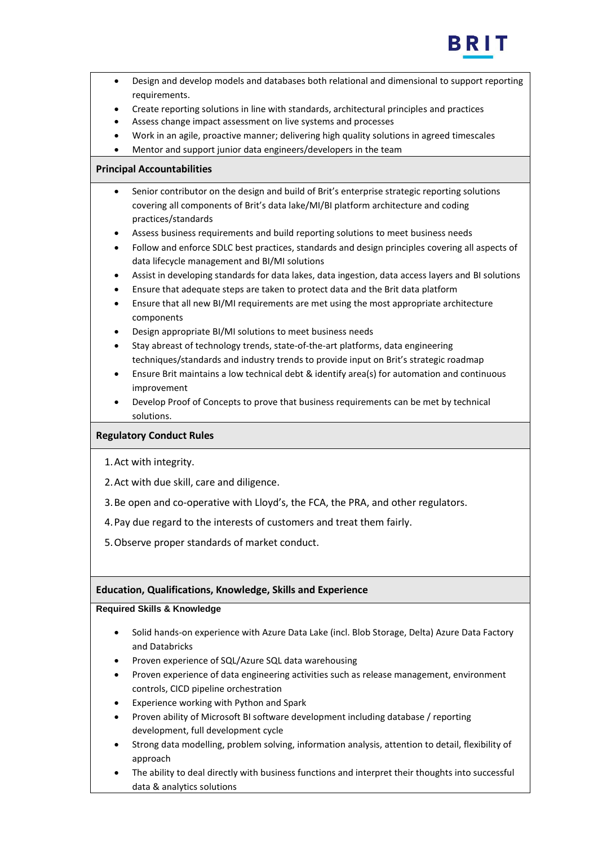

| Design and develop models and databases both relational and dimensional to support reporting<br>$\bullet$<br>requirements.<br>Create reporting solutions in line with standards, architectural principles and practices<br>$\bullet$<br>Assess change impact assessment on live systems and processes<br>$\bullet$<br>Work in an agile, proactive manner; delivering high quality solutions in agreed timescales<br>$\bullet$<br>Mentor and support junior data engineers/developers in the team                                                                                                                                                                                                                                                                                                                                                                                                                                                                                                                                                                                                                                                                                                                                                                                                                                     |  |
|--------------------------------------------------------------------------------------------------------------------------------------------------------------------------------------------------------------------------------------------------------------------------------------------------------------------------------------------------------------------------------------------------------------------------------------------------------------------------------------------------------------------------------------------------------------------------------------------------------------------------------------------------------------------------------------------------------------------------------------------------------------------------------------------------------------------------------------------------------------------------------------------------------------------------------------------------------------------------------------------------------------------------------------------------------------------------------------------------------------------------------------------------------------------------------------------------------------------------------------------------------------------------------------------------------------------------------------|--|
| <b>Principal Accountabilities</b>                                                                                                                                                                                                                                                                                                                                                                                                                                                                                                                                                                                                                                                                                                                                                                                                                                                                                                                                                                                                                                                                                                                                                                                                                                                                                                    |  |
| Senior contributor on the design and build of Brit's enterprise strategic reporting solutions<br>$\bullet$<br>covering all components of Brit's data lake/MI/BI platform architecture and coding<br>practices/standards<br>Assess business requirements and build reporting solutions to meet business needs<br>$\bullet$<br>Follow and enforce SDLC best practices, standards and design principles covering all aspects of<br>$\bullet$<br>data lifecycle management and BI/MI solutions<br>Assist in developing standards for data lakes, data ingestion, data access layers and BI solutions<br>$\bullet$<br>Ensure that adequate steps are taken to protect data and the Brit data platform<br>$\bullet$<br>Ensure that all new BI/MI requirements are met using the most appropriate architecture<br>$\bullet$<br>components<br>Design appropriate BI/MI solutions to meet business needs<br>٠<br>Stay abreast of technology trends, state-of-the-art platforms, data engineering<br>$\bullet$<br>techniques/standards and industry trends to provide input on Brit's strategic roadmap<br>Ensure Brit maintains a low technical debt & identify area(s) for automation and continuous<br>٠<br>improvement<br>Develop Proof of Concepts to prove that business requirements can be met by technical<br>$\bullet$<br>solutions. |  |
| <b>Regulatory Conduct Rules</b>                                                                                                                                                                                                                                                                                                                                                                                                                                                                                                                                                                                                                                                                                                                                                                                                                                                                                                                                                                                                                                                                                                                                                                                                                                                                                                      |  |
| 1. Act with integrity.                                                                                                                                                                                                                                                                                                                                                                                                                                                                                                                                                                                                                                                                                                                                                                                                                                                                                                                                                                                                                                                                                                                                                                                                                                                                                                               |  |
| 2. Act with due skill, care and diligence.                                                                                                                                                                                                                                                                                                                                                                                                                                                                                                                                                                                                                                                                                                                                                                                                                                                                                                                                                                                                                                                                                                                                                                                                                                                                                           |  |
| 3. Be open and co-operative with Lloyd's, the FCA, the PRA, and other regulators.                                                                                                                                                                                                                                                                                                                                                                                                                                                                                                                                                                                                                                                                                                                                                                                                                                                                                                                                                                                                                                                                                                                                                                                                                                                    |  |
| 4. Pay due regard to the interests of customers and treat them fairly.                                                                                                                                                                                                                                                                                                                                                                                                                                                                                                                                                                                                                                                                                                                                                                                                                                                                                                                                                                                                                                                                                                                                                                                                                                                               |  |
| 5. Observe proper standards of market conduct.                                                                                                                                                                                                                                                                                                                                                                                                                                                                                                                                                                                                                                                                                                                                                                                                                                                                                                                                                                                                                                                                                                                                                                                                                                                                                       |  |
| <b>Education, Qualifications, Knowledge, Skills and Experience</b>                                                                                                                                                                                                                                                                                                                                                                                                                                                                                                                                                                                                                                                                                                                                                                                                                                                                                                                                                                                                                                                                                                                                                                                                                                                                   |  |
| <b>Required Skills &amp; Knowledge</b>                                                                                                                                                                                                                                                                                                                                                                                                                                                                                                                                                                                                                                                                                                                                                                                                                                                                                                                                                                                                                                                                                                                                                                                                                                                                                               |  |
| Solid hands-on experience with Azure Data Lake (incl. Blob Storage, Delta) Azure Data Factory<br>and Databricks<br>Proven experience of SQL/Azure SQL data warehousing<br>٠<br>Proven experience of data engineering activities such as release management, environment<br>controls, CICD pipeline orchestration<br>Experience working with Python and Spark<br>٠<br>Proven ability of Microsoft BI software development including database / reporting                                                                                                                                                                                                                                                                                                                                                                                                                                                                                                                                                                                                                                                                                                                                                                                                                                                                              |  |

- development, full development cycle
- Strong data modelling, problem solving, information analysis, attention to detail, flexibility of approach
- The ability to deal directly with business functions and interpret their thoughts into successful data & analytics solutions